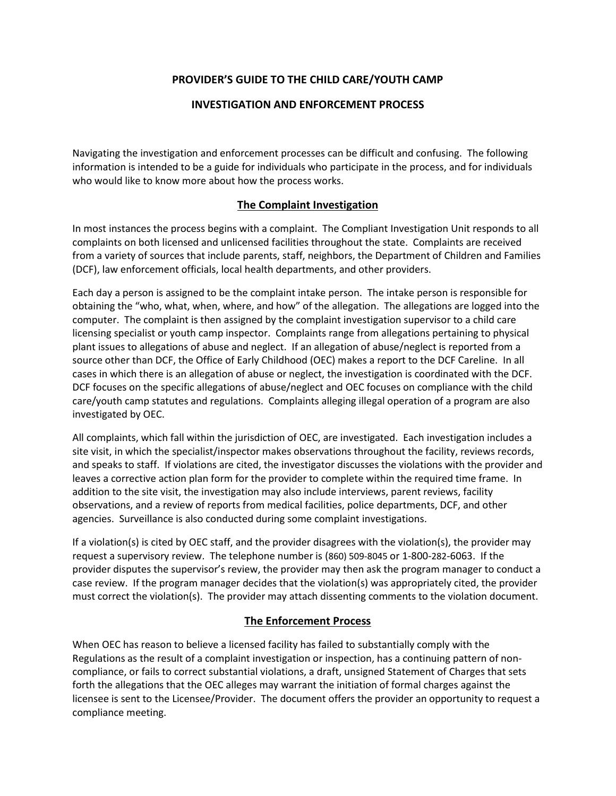## **PROVIDER'S GUIDE TO THE CHILD CARE/YOUTH CAMP**

## **INVESTIGATION AND ENFORCEMENT PROCESS**

Navigating the investigation and enforcement processes can be difficult and confusing. The following information is intended to be a guide for individuals who participate in the process, and for individuals who would like to know more about how the process works.

## **The Complaint Investigation**

In most instances the process begins with a complaint. The Compliant Investigation Unit responds to all complaints on both licensed and unlicensed facilities throughout the state. Complaints are received from a variety of sources that include parents, staff, neighbors, the Department of Children and Families (DCF), law enforcement officials, local health departments, and other providers.

Each day a person is assigned to be the complaint intake person. The intake person is responsible for obtaining the "who, what, when, where, and how" of the allegation. The allegations are logged into the computer. The complaint is then assigned by the complaint investigation supervisor to a child care licensing specialist or youth camp inspector. Complaints range from allegations pertaining to physical plant issues to allegations of abuse and neglect. If an allegation of abuse/neglect is reported from a source other than DCF, the Office of Early Childhood (OEC) makes a report to the DCF Careline. In all cases in which there is an allegation of abuse or neglect, the investigation is coordinated with the DCF. DCF focuses on the specific allegations of abuse/neglect and OEC focuses on compliance with the child care/youth camp statutes and regulations. Complaints alleging illegal operation of a program are also investigated by OEC.

All complaints, which fall within the jurisdiction of OEC, are investigated. Each investigation includes a site visit, in which the specialist/inspector makes observations throughout the facility, reviews records, and speaks to staff. If violations are cited, the investigator discusses the violations with the provider and leaves a corrective action plan form for the provider to complete within the required time frame. In addition to the site visit, the investigation may also include interviews, parent reviews, facility observations, and a review of reports from medical facilities, police departments, DCF, and other agencies. Surveillance is also conducted during some complaint investigations.

If a violation(s) is cited by OEC staff, and the provider disagrees with the violation(s), the provider may request a supervisory review. The telephone number is (860) 509-8045 or 1-800-282-6063. If the provider disputes the supervisor's review, the provider may then ask the program manager to conduct a case review. If the program manager decides that the violation(s) was appropriately cited, the provider must correct the violation(s). The provider may attach dissenting comments to the violation document.

## **The Enforcement Process**

When OEC has reason to believe a licensed facility has failed to substantially comply with the Regulations as the result of a complaint investigation or inspection, has a continuing pattern of noncompliance, or fails to correct substantial violations, a draft, unsigned Statement of Charges that sets forth the allegations that the OEC alleges may warrant the initiation of formal charges against the licensee is sent to the Licensee/Provider. The document offers the provider an opportunity to request a compliance meeting.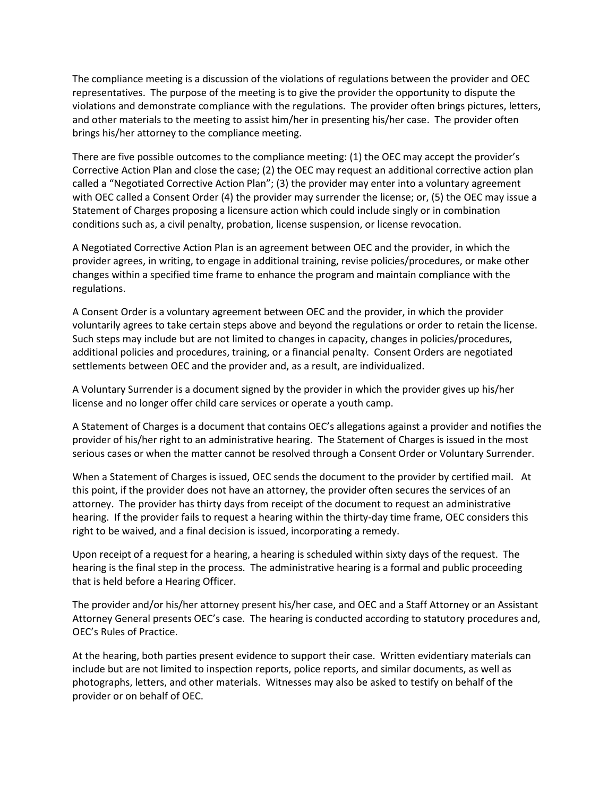The compliance meeting is a discussion of the violations of regulations between the provider and OEC representatives. The purpose of the meeting is to give the provider the opportunity to dispute the violations and demonstrate compliance with the regulations. The provider often brings pictures, letters, and other materials to the meeting to assist him/her in presenting his/her case. The provider often brings his/her attorney to the compliance meeting.

There are five possible outcomes to the compliance meeting: (1) the OEC may accept the provider's Corrective Action Plan and close the case; (2) the OEC may request an additional corrective action plan called a "Negotiated Corrective Action Plan"; (3) the provider may enter into a voluntary agreement with OEC called a Consent Order (4) the provider may surrender the license; or, (5) the OEC may issue a Statement of Charges proposing a licensure action which could include singly or in combination conditions such as, a civil penalty, probation, license suspension, or license revocation.

A Negotiated Corrective Action Plan is an agreement between OEC and the provider, in which the provider agrees, in writing, to engage in additional training, revise policies/procedures, or make other changes within a specified time frame to enhance the program and maintain compliance with the regulations.

A Consent Order is a voluntary agreement between OEC and the provider, in which the provider voluntarily agrees to take certain steps above and beyond the regulations or order to retain the license. Such steps may include but are not limited to changes in capacity, changes in policies/procedures, additional policies and procedures, training, or a financial penalty. Consent Orders are negotiated settlements between OEC and the provider and, as a result, are individualized.

A Voluntary Surrender is a document signed by the provider in which the provider gives up his/her license and no longer offer child care services or operate a youth camp.

A Statement of Charges is a document that contains OEC's allegations against a provider and notifies the provider of his/her right to an administrative hearing. The Statement of Charges is issued in the most serious cases or when the matter cannot be resolved through a Consent Order or Voluntary Surrender.

When a Statement of Charges is issued, OEC sends the document to the provider by certified mail. At this point, if the provider does not have an attorney, the provider often secures the services of an attorney. The provider has thirty days from receipt of the document to request an administrative hearing. If the provider fails to request a hearing within the thirty-day time frame, OEC considers this right to be waived, and a final decision is issued, incorporating a remedy.

Upon receipt of a request for a hearing, a hearing is scheduled within sixty days of the request. The hearing is the final step in the process. The administrative hearing is a formal and public proceeding that is held before a Hearing Officer.

The provider and/or his/her attorney present his/her case, and OEC and a Staff Attorney or an Assistant Attorney General presents OEC's case. The hearing is conducted according to statutory procedures and, OEC's Rules of Practice.

At the hearing, both parties present evidence to support their case. Written evidentiary materials can include but are not limited to inspection reports, police reports, and similar documents, as well as photographs, letters, and other materials. Witnesses may also be asked to testify on behalf of the provider or on behalf of OEC.